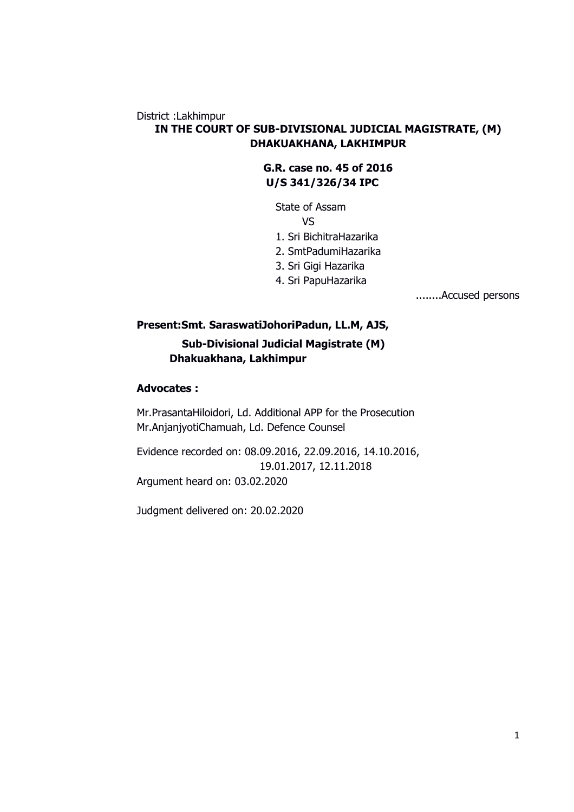# District :Lakhimpur **IN THE COURT OF SUB-DIVISIONAL JUDICIAL MAGISTRATE, (M) DHAKUAKHANA, LAKHIMPUR**

**G.R. case no. 45 of 2016 U/S 341/326/34 IPC** 

State of Assam VS 1. Sri BichitraHazarika 2. SmtPadumiHazarika 3. Sri Gigi Hazarika

4. Sri PapuHazarika

........Accused persons

# **Present:Smt. SaraswatiJohoriPadun, LL.M, AJS, Sub-Divisional Judicial Magistrate (M) Dhakuakhana, Lakhimpur**

# **Advocates :**

Mr.PrasantaHiloidori, Ld. Additional APP for the Prosecution Mr.AnjanjyotiChamuah, Ld. Defence Counsel

Evidence recorded on: 08.09.2016, 22.09.2016, 14.10.2016, 19.01.2017, 12.11.2018 Argument heard on: 03.02.2020

Judgment delivered on: 20.02.2020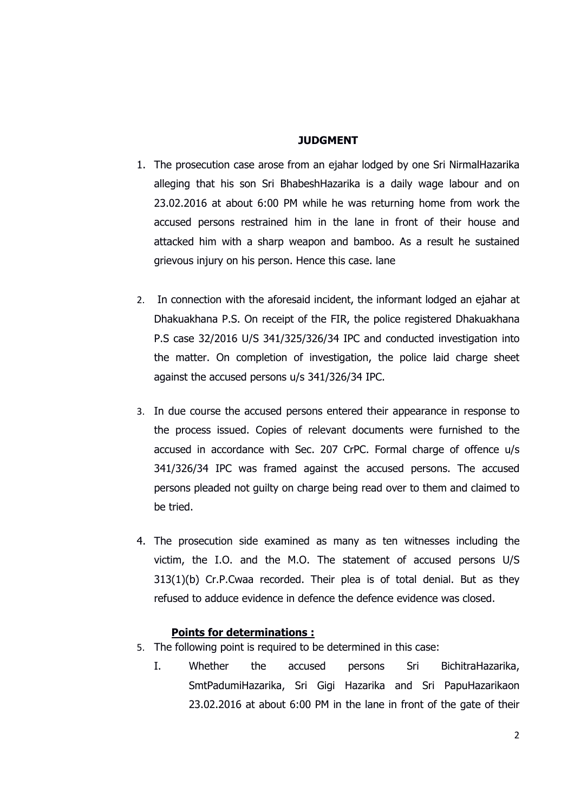### **JUDGMENT**

- 1. The prosecution case arose from an ejahar lodged by one Sri NirmalHazarika alleging that his son Sri BhabeshHazarika is a daily wage labour and on 23.02.2016 at about 6:00 PM while he was returning home from work the accused persons restrained him in the lane in front of their house and attacked him with a sharp weapon and bamboo. As a result he sustained grievous injury on his person. Hence this case. lane
- 2. In connection with the aforesaid incident, the informant lodged an ejahar at Dhakuakhana P.S. On receipt of the FIR, the police registered Dhakuakhana P.S case 32/2016 U/S 341/325/326/34 IPC and conducted investigation into the matter. On completion of investigation, the police laid charge sheet against the accused persons u/s 341/326/34 IPC.
- 3. In due course the accused persons entered their appearance in response to the process issued. Copies of relevant documents were furnished to the accused in accordance with Sec. 207 CrPC. Formal charge of offence u/s 341/326/34 IPC was framed against the accused persons. The accused persons pleaded not guilty on charge being read over to them and claimed to be tried.
- 4. The prosecution side examined as many as ten witnesses including the victim, the I.O. and the M.O. The statement of accused persons U/S 313(1)(b) Cr.P.Cwaa recorded. Their plea is of total denial. But as they refused to adduce evidence in defence the defence evidence was closed.

# **Points for determinations :**

- 5. The following point is required to be determined in this case:
	- I. Whether the accused persons Sri BichitraHazarika, SmtPadumiHazarika, Sri Gigi Hazarika and Sri PapuHazarikaon 23.02.2016 at about 6:00 PM in the lane in front of the gate of their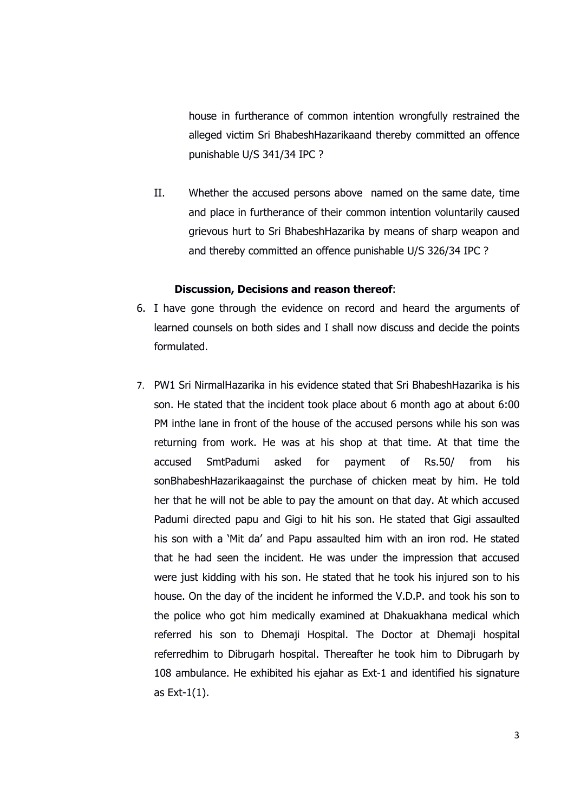punishable U/S 341/34 IPC ? house in furtherance of common intention wrongfully restrained the alleged victim Sri BhabeshHazarikaand thereby committed an offence

II. Whether the accused persons above named on the same date, time and place in furtherance of their common intention voluntarily caused grievous hurt to Sri BhabeshHazarika by means of sharp weapon and and thereby committed an offence punishable U/S 326/34 IPC ?

### **Discussion, Decisions and reason thereof**:

- 6. I have gone through the evidence on record and heard the arguments of learned counsels on both sides and I shall now discuss and decide the points formulated.
- 7. PW1 Sri NirmalHazarika in his evidence stated that Sri BhabeshHazarika is his son. He stated that the incident took place about 6 month ago at about 6:00 PM inthe lane in front of the house of the accused persons while his son was returning from work. He was at his shop at that time. At that time the accused SmtPadumi asked for payment of Rs.50/ from his sonBhabeshHazarikaagainst the purchase of chicken meat by him. He told her that he will not be able to pay the amount on that day. At which accused Padumi directed papu and Gigi to hit his son. He stated that Gigi assaulted his son with a 'Mit da' and Papu assaulted him with an iron rod. He stated that he had seen the incident. He was under the impression that accused were just kidding with his son. He stated that he took his injured son to his house. On the day of the incident he informed the V.D.P. and took his son to the police who got him medically examined at Dhakuakhana medical which referred his son to Dhemaji Hospital. The Doctor at Dhemaji hospital referredhim to Dibrugarh hospital. Thereafter he took him to Dibrugarh by 108 ambulance. He exhibited his ejahar as Ext-1 and identified his signature as Ext-1(1).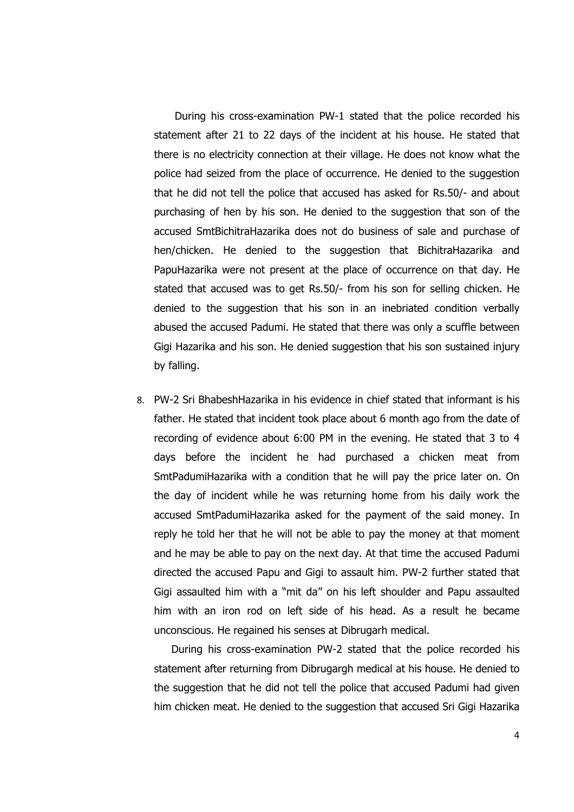During his cross-examination PW-1 stated that the police recorded his statement after 21 to 22 days of the incident at his house. He stated that there is no electricity connection at their village. He does not know what the police had seized from the place of occurrence. He denied to the suggestion that he did not tell the police that accused has asked for Rs.50/- and about purchasing of hen by his son. He denied to the suggestion that son of the accused SmtBichitraHazarika does not do business of sale and purchase of hen/chicken. He denied to the suggestion that BichitraHazarika and PapuHazarika were not present at the place of occurrence on that day. He stated that accused was to get Rs.50/- from his son for selling chicken. He denied to the suggestion that his son in an inebriated condition verbally abused the accused Padumi. He stated that there was only a scuffle between Gigi Hazarika and his son. He denied suggestion that his son sustained injury by falling.

8. PW-2 Sri BhabeshHazarika in his evidence in chief stated that informant is his father. He stated that incident took place about 6 month ago from the date of recording of evidence about 6:00 PM in the evening. He stated that 3 to 4 days before the incident he had purchased a chicken meat from SmtPadumiHazarika with a condition that he will pay the price later on. On the day of incident while he was returning home from his daily work the accused SmtPadumiHazarika asked for the payment of the said money. In reply he told her that he will not be able to pay the money at that moment and he may be able to pay on the next day. At that time the accused Padumi directed the accused Papu and Gigi to assault him. PW-2 further stated that Gigi assaulted him with a "mit da" on his left shoulder and Papu assaulted him with an iron rod on left side of his head. As a result he became unconscious. He regained his senses at Dibrugarh medical.

During his cross-examination PW-2 stated that the police recorded his statement after returning from Dibrugargh medical at his house. He denied to the suggestion that he did not tell the police that accused Padumi had given him chicken meat. He denied to the suggestion that accused Sri Gigi Hazarika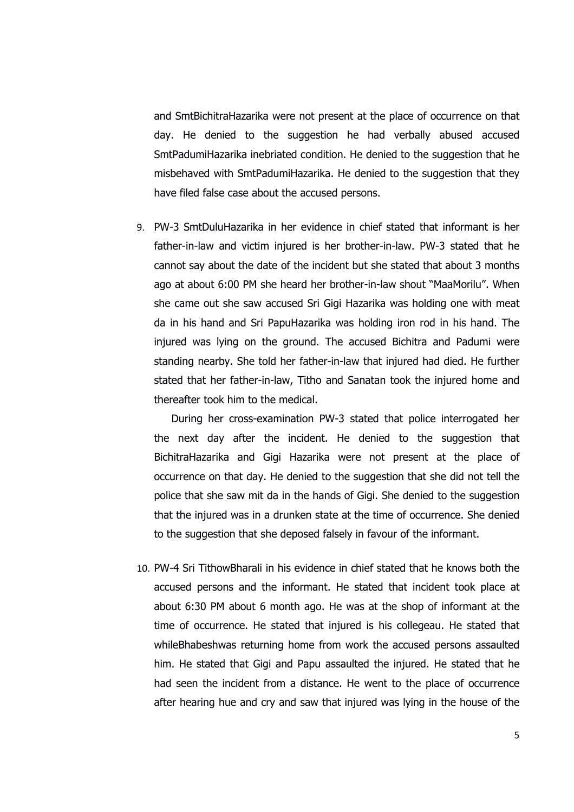and SmtBichitraHazarika were not present at the place of occurrence on that day. He denied to the suggestion he had verbally abused accused SmtPadumiHazarika inebriated condition. He denied to the suggestion that he misbehaved with SmtPadumiHazarika. He denied to the suggestion that they have filed false case about the accused persons.

9. PW-3 SmtDuluHazarika in her evidence in chief stated that informant is her father-in-law and victim injured is her brother-in-law. PW-3 stated that he cannot say about the date of the incident but she stated that about 3 months ago at about 6:00 PM she heard her brother-in-law shout "MaaMorilu". When she came out she saw accused Sri Gigi Hazarika was holding one with meat da in his hand and Sri PapuHazarika was holding iron rod in his hand. The injured was lying on the ground. The accused Bichitra and Padumi were standing nearby. She told her father-in-law that injured had died. He further stated that her father-in-law, Titho and Sanatan took the injured home and thereafter took him to the medical.

During her cross-examination PW-3 stated that police interrogated her the next day after the incident. He denied to the suggestion that BichitraHazarika and Gigi Hazarika were not present at the place of occurrence on that day. He denied to the suggestion that she did not tell the police that she saw mit da in the hands of Gigi. She denied to the suggestion that the injured was in a drunken state at the time of occurrence. She denied to the suggestion that she deposed falsely in favour of the informant.

10. PW-4 Sri TithowBharali in his evidence in chief stated that he knows both the accused persons and the informant. He stated that incident took place at about 6:30 PM about 6 month ago. He was at the shop of informant at the time of occurrence. He stated that injured is his collegeau. He stated that whileBhabeshwas returning home from work the accused persons assaulted him. He stated that Gigi and Papu assaulted the injured. He stated that he had seen the incident from a distance. He went to the place of occurrence after hearing hue and cry and saw that injured was lying in the house of the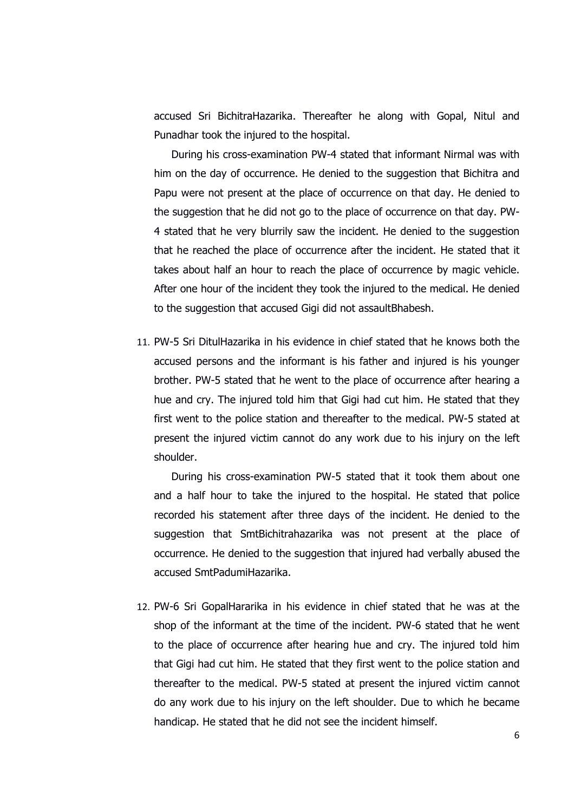accused Sri BichitraHazarika. Thereafter he along with Gopal, Nitul and Punadhar took the injured to the hospital.

During his cross-examination PW-4 stated that informant Nirmal was with him on the day of occurrence. He denied to the suggestion that Bichitra and Papu were not present at the place of occurrence on that day. He denied to the suggestion that he did not go to the place of occurrence on that day. PW-4 stated that he very blurrily saw the incident. He denied to the suggestion that he reached the place of occurrence after the incident. He stated that it takes about half an hour to reach the place of occurrence by magic vehicle. After one hour of the incident they took the injured to the medical. He denied to the suggestion that accused Gigi did not assaultBhabesh.

11. PW-5 Sri DitulHazarika in his evidence in chief stated that he knows both the accused persons and the informant is his father and injured is his younger brother. PW-5 stated that he went to the place of occurrence after hearing a hue and cry. The injured told him that Gigi had cut him. He stated that they first went to the police station and thereafter to the medical. PW-5 stated at present the injured victim cannot do any work due to his injury on the left shoulder.

During his cross-examination PW-5 stated that it took them about one and a half hour to take the injured to the hospital. He stated that police recorded his statement after three days of the incident. He denied to the suggestion that SmtBichitrahazarika was not present at the place of occurrence. He denied to the suggestion that injured had verbally abused the accused SmtPadumiHazarika.

12. PW-6 Sri GopalHararika in his evidence in chief stated that he was at the shop of the informant at the time of the incident. PW-6 stated that he went to the place of occurrence after hearing hue and cry. The injured told him that Gigi had cut him. He stated that they first went to the police station and thereafter to the medical. PW-5 stated at present the injured victim cannot do any work due to his injury on the left shoulder. Due to which he became handicap. He stated that he did not see the incident himself.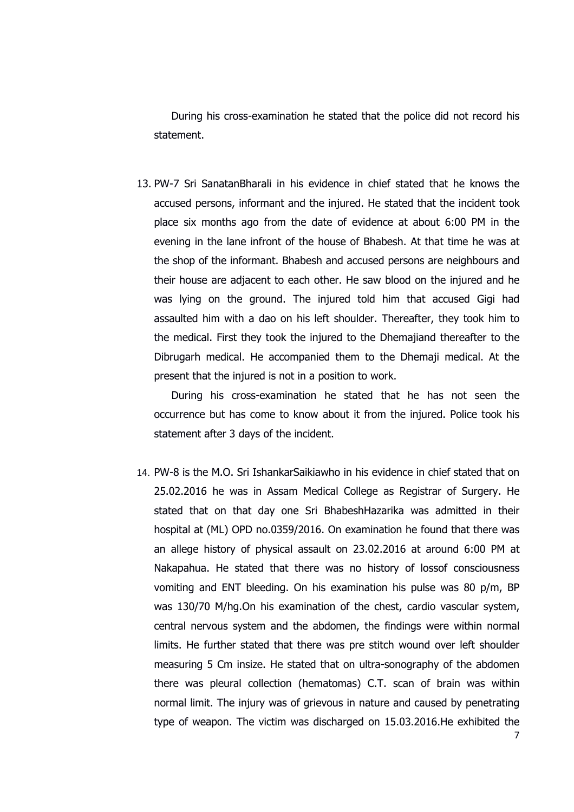During his cross-examination he stated that the police did not record his statement.

13. PW-7 Sri SanatanBharali in his evidence in chief stated that he knows the accused persons, informant and the injured. He stated that the incident took place six months ago from the date of evidence at about 6:00 PM in the evening in the lane infront of the house of Bhabesh. At that time he was at the shop of the informant. Bhabesh and accused persons are neighbours and their house are adjacent to each other. He saw blood on the injured and he was lying on the ground. The injured told him that accused Gigi had assaulted him with a dao on his left shoulder. Thereafter, they took him to the medical. First they took the injured to the Dhemajiand thereafter to the Dibrugarh medical. He accompanied them to the Dhemaji medical. At the present that the injured is not in a position to work.

During his cross-examination he stated that he has not seen the occurrence but has come to know about it from the injured. Police took his statement after 3 days of the incident.

14. PW-8 is the M.O. Sri IshankarSaikiawho in his evidence in chief stated that on 25.02.2016 he was in Assam Medical College as Registrar of Surgery. He stated that on that day one Sri BhabeshHazarika was admitted in their hospital at (ML) OPD no.0359/2016. On examination he found that there was an allege history of physical assault on 23.02.2016 at around 6:00 PM at Nakapahua. He stated that there was no history of lossof consciousness vomiting and ENT bleeding. On his examination his pulse was 80 p/m, BP was 130/70 M/hg.On his examination of the chest, cardio vascular system, central nervous system and the abdomen, the findings were within normal limits. He further stated that there was pre stitch wound over left shoulder measuring 5 Cm insize. He stated that on ultra-sonography of the abdomen there was pleural collection (hematomas) C.T. scan of brain was within normal limit. The injury was of grievous in nature and caused by penetrating type of weapon. The victim was discharged on 15.03.2016.He exhibited the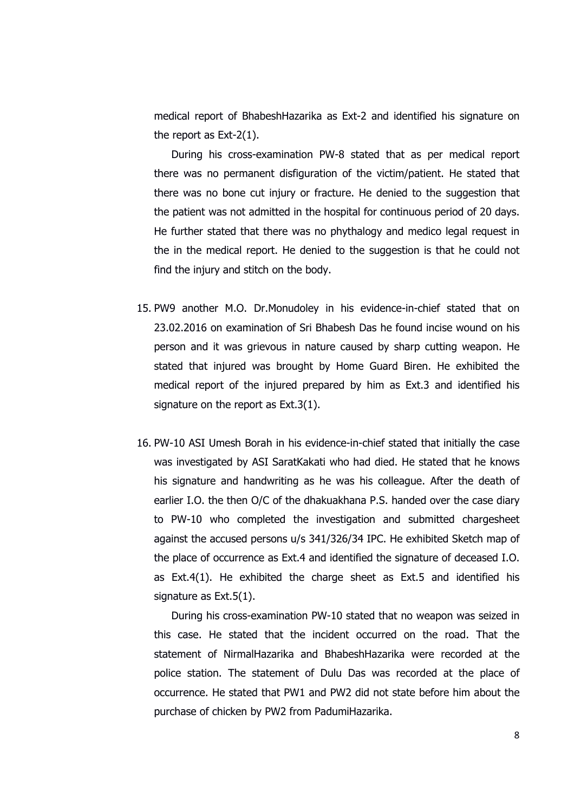medical report of BhabeshHazarika as Ext-2 and identified his signature on the report as Ext-2(1).

During his cross-examination PW-8 stated that as per medical report there was no permanent disfiguration of the victim/patient. He stated that there was no bone cut injury or fracture. He denied to the suggestion that the patient was not admitted in the hospital for continuous period of 20 days. He further stated that there was no phythalogy and medico legal request in the in the medical report. He denied to the suggestion is that he could not find the injury and stitch on the body.

- 15. PW9 another M.O. Dr.Monudoley in his evidence-in-chief stated that on 23.02.2016 on examination of Sri Bhabesh Das he found incise wound on his person and it was grievous in nature caused by sharp cutting weapon. He stated that injured was brought by Home Guard Biren. He exhibited the medical report of the injured prepared by him as Ext.3 and identified his signature on the report as Ext.3(1).
- 16. PW-10 ASI Umesh Borah in his evidence-in-chief stated that initially the case was investigated by ASI SaratKakati who had died. He stated that he knows his signature and handwriting as he was his colleague. After the death of earlier I.O. the then O/C of the dhakuakhana P.S. handed over the case diary to PW-10 who completed the investigation and submitted chargesheet against the accused persons u/s 341/326/34 IPC. He exhibited Sketch map of the place of occurrence as Ext.4 and identified the signature of deceased I.O. as Ext.4(1). He exhibited the charge sheet as Ext.5 and identified his signature as Ext.5(1).

During his cross-examination PW-10 stated that no weapon was seized in this case. He stated that the incident occurred on the road. That the statement of NirmalHazarika and BhabeshHazarika were recorded at the police station. The statement of Dulu Das was recorded at the place of occurrence. He stated that PW1 and PW2 did not state before him about the purchase of chicken by PW2 from PadumiHazarika.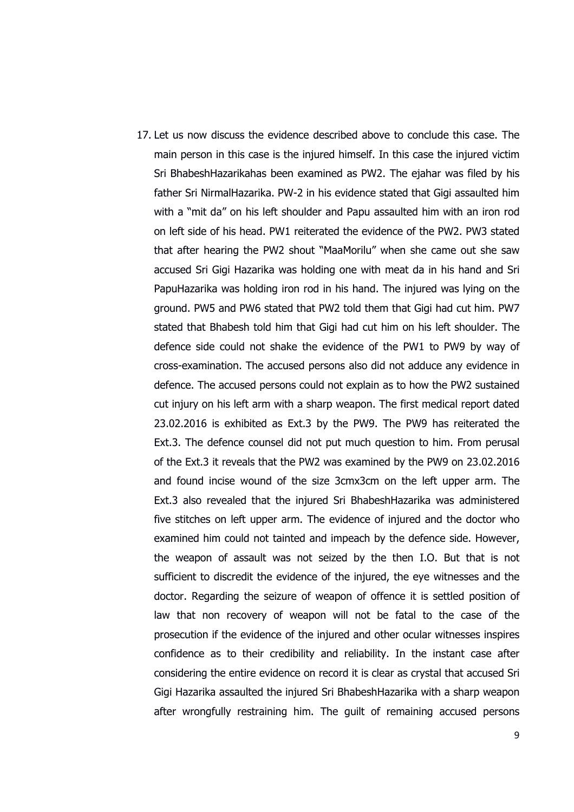17. Let us now discuss the evidence described above to conclude this case. The main person in this case is the injured himself. In this case the injured victim Sri BhabeshHazarikahas been examined as PW2. The ejahar was filed by his father Sri NirmalHazarika. PW-2 in his evidence stated that Gigi assaulted him with a "mit da" on his left shoulder and Papu assaulted him with an iron rod on left side of his head. PW1 reiterated the evidence of the PW2. PW3 stated that after hearing the PW2 shout "MaaMorilu" when she came out she saw accused Sri Gigi Hazarika was holding one with meat da in his hand and Sri PapuHazarika was holding iron rod in his hand. The injured was lying on the ground. PW5 and PW6 stated that PW2 told them that Gigi had cut him. PW7 stated that Bhabesh told him that Gigi had cut him on his left shoulder. The defence side could not shake the evidence of the PW1 to PW9 by way of cross-examination. The accused persons also did not adduce any evidence in defence. The accused persons could not explain as to how the PW2 sustained cut injury on his left arm with a sharp weapon. The first medical report dated 23.02.2016 is exhibited as Ext.3 by the PW9. The PW9 has reiterated the Ext.3. The defence counsel did not put much question to him. From perusal of the Ext.3 it reveals that the PW2 was examined by the PW9 on 23.02.2016 and found incise wound of the size 3cmx3cm on the left upper arm. The Ext.3 also revealed that the injured Sri BhabeshHazarika was administered five stitches on left upper arm. The evidence of injured and the doctor who examined him could not tainted and impeach by the defence side. However, the weapon of assault was not seized by the then I.O. But that is not sufficient to discredit the evidence of the injured, the eye witnesses and the doctor. Regarding the seizure of weapon of offence it is settled position of law that non recovery of weapon will not be fatal to the case of the prosecution if the evidence of the injured and other ocular witnesses inspires confidence as to their credibility and reliability. In the instant case after considering the entire evidence on record it is clear as crystal that accused Sri Gigi Hazarika assaulted the injured Sri BhabeshHazarika with a sharp weapon after wrongfully restraining him. The guilt of remaining accused persons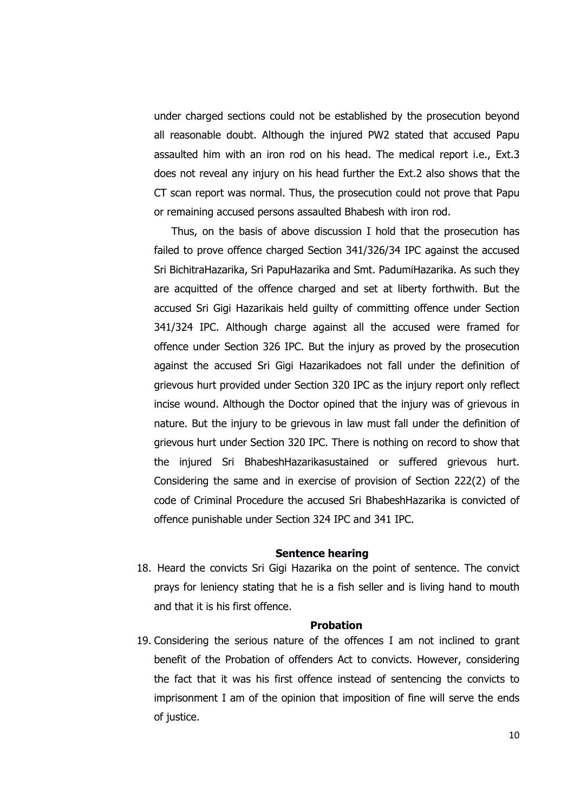under charged sections could not be established by the prosecution beyond all reasonable doubt. Although the injured PW2 stated that accused Papu assaulted him with an iron rod on his head. The medical report i.e., Ext.3 does not reveal any injury on his head further the Ext.2 also shows that the CT scan report was normal. Thus, the prosecution could not prove that Papu or remaining accused persons assaulted Bhabesh with iron rod.

Thus, on the basis of above discussion I hold that the prosecution has failed to prove offence charged Section 341/326/34 IPC against the accused Sri BichitraHazarika, Sri PapuHazarika and Smt. PadumiHazarika. As such they are acquitted of the offence charged and set at liberty forthwith. But the accused Sri Gigi Hazarikais held guilty of committing offence under Section 341/324 IPC. Although charge against all the accused were framed for offence under Section 326 IPC. But the injury as proved by the prosecution against the accused Sri Gigi Hazarikadoes not fall under the definition of grievous hurt provided under Section 320 IPC as the injury report only reflect incise wound. Although the Doctor opined that the injury was of grievous in nature. But the injury to be grievous in law must fall under the definition of grievous hurt under Section 320 IPC. There is nothing on record to show that the injured Sri BhabeshHazarikasustained or suffered grievous hurt. Considering the same and in exercise of provision of Section 222(2) of the code of Criminal Procedure the accused Sri BhabeshHazarika is convicted of offence punishable under Section 324 IPC and 341 IPC.

## **Sentence hearing**

18. Heard the convicts Sri Gigi Hazarika on the point of sentence. The convict prays for leniency stating that he is a fish seller and is living hand to mouth and that it is his first offence.

#### **Probation**

19. Considering the serious nature of the offences I am not inclined to grant benefit of the Probation of offenders Act to convicts. However, considering the fact that it was his first offence instead of sentencing the convicts to imprisonment I am of the opinion that imposition of fine will serve the ends of justice.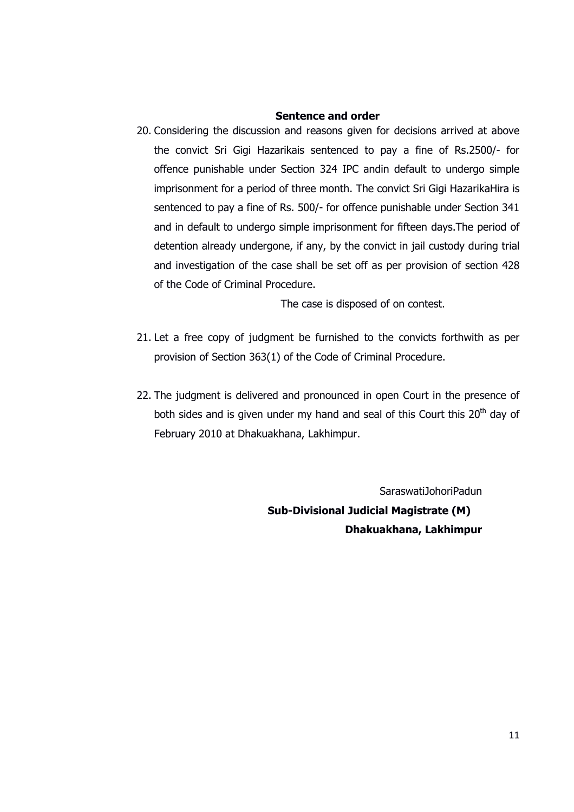## **Sentence and order**

20. Considering the discussion and reasons given for decisions arrived at above the convict Sri Gigi Hazarikais sentenced to pay a fine of Rs.2500/- for offence punishable under Section 324 IPC andin default to undergo simple imprisonment for a period of three month. The convict Sri Gigi HazarikaHira is sentenced to pay a fine of Rs. 500/- for offence punishable under Section 341 and in default to undergo simple imprisonment for fifteen days.The period of detention already undergone, if any, by the convict in jail custody during trial and investigation of the case shall be set off as per provision of section 428 of the Code of Criminal Procedure.

The case is disposed of on contest.

- 21. Let a free copy of judgment be furnished to the convicts forthwith as per provision of Section 363(1) of the Code of Criminal Procedure.
- 22. The judgment is delivered and pronounced in open Court in the presence of both sides and is given under my hand and seal of this Court this  $20<sup>th</sup>$  day of February 2010 at Dhakuakhana, Lakhimpur.

SaraswatiJohoriPadun  **Sub-Divisional Judicial Magistrate (M) Dhakuakhana, Lakhimpur**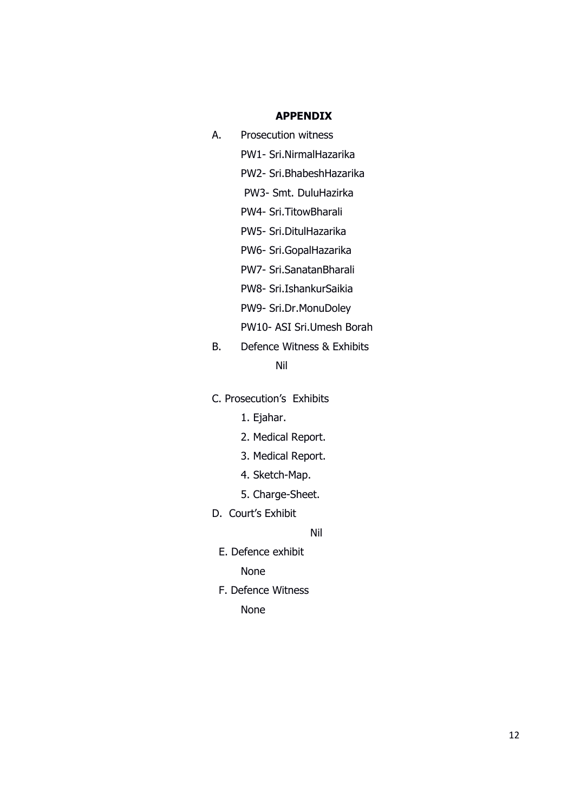# **APPENDIX**

A. Prosecution witness

PW1- Sri.NirmalHazarika

PW2- Sri.BhabeshHazarika

PW3- Smt. DuluHazirka

PW4- Sri.TitowBharali

PW5- Sri.DitulHazarika

PW6- Sri.GopalHazarika

PW7- Sri.SanatanBharali

PW8- Sri.IshankurSaikia

PW9- Sri.Dr.MonuDoley

PW10- ASI Sri.Umesh Borah

B. Defence Witness & Exhibits

# Nil

C. Prosecution's Exhibits

- 1. Ejahar.
- 2. Medical Report.
- 3. Medical Report.
- 4. Sketch-Map.
- 5. Charge-Sheet.
- D. Court's Exhibit

Nil

E. Defence exhibit

None

F. Defence Witness

None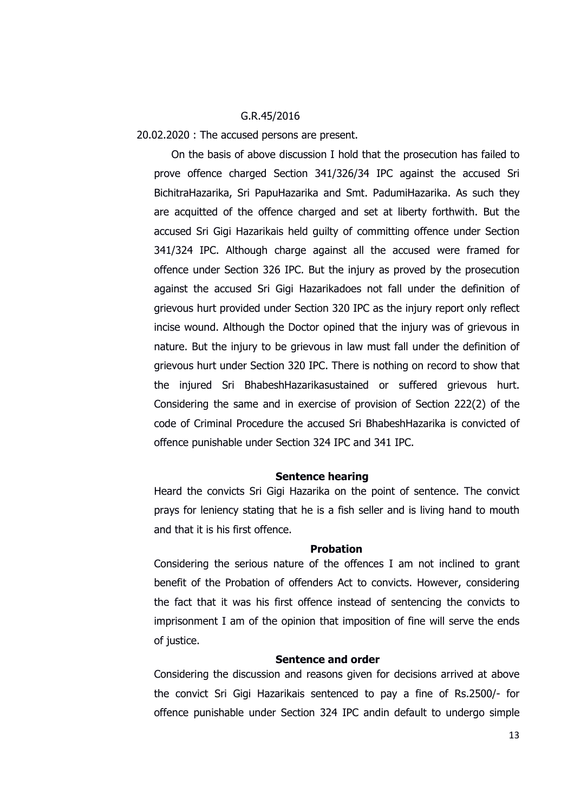## G.R.45/2016

20.02.2020 : The accused persons are present.

On the basis of above discussion I hold that the prosecution has failed to prove offence charged Section 341/326/34 IPC against the accused Sri BichitraHazarika, Sri PapuHazarika and Smt. PadumiHazarika. As such they are acquitted of the offence charged and set at liberty forthwith. But the accused Sri Gigi Hazarikais held guilty of committing offence under Section 341/324 IPC. Although charge against all the accused were framed for offence under Section 326 IPC. But the injury as proved by the prosecution against the accused Sri Gigi Hazarikadoes not fall under the definition of grievous hurt provided under Section 320 IPC as the injury report only reflect incise wound. Although the Doctor opined that the injury was of grievous in nature. But the injury to be grievous in law must fall under the definition of grievous hurt under Section 320 IPC. There is nothing on record to show that the injured Sri BhabeshHazarikasustained or suffered grievous hurt. Considering the same and in exercise of provision of Section 222(2) of the code of Criminal Procedure the accused Sri BhabeshHazarika is convicted of offence punishable under Section 324 IPC and 341 IPC.

#### **Sentence hearing**

Heard the convicts Sri Gigi Hazarika on the point of sentence. The convict prays for leniency stating that he is a fish seller and is living hand to mouth and that it is his first offence.

#### **Probation**

Considering the serious nature of the offences I am not inclined to grant benefit of the Probation of offenders Act to convicts. However, considering the fact that it was his first offence instead of sentencing the convicts to imprisonment I am of the opinion that imposition of fine will serve the ends of justice.

## **Sentence and order**

Considering the discussion and reasons given for decisions arrived at above the convict Sri Gigi Hazarikais sentenced to pay a fine of Rs.2500/- for offence punishable under Section 324 IPC andin default to undergo simple